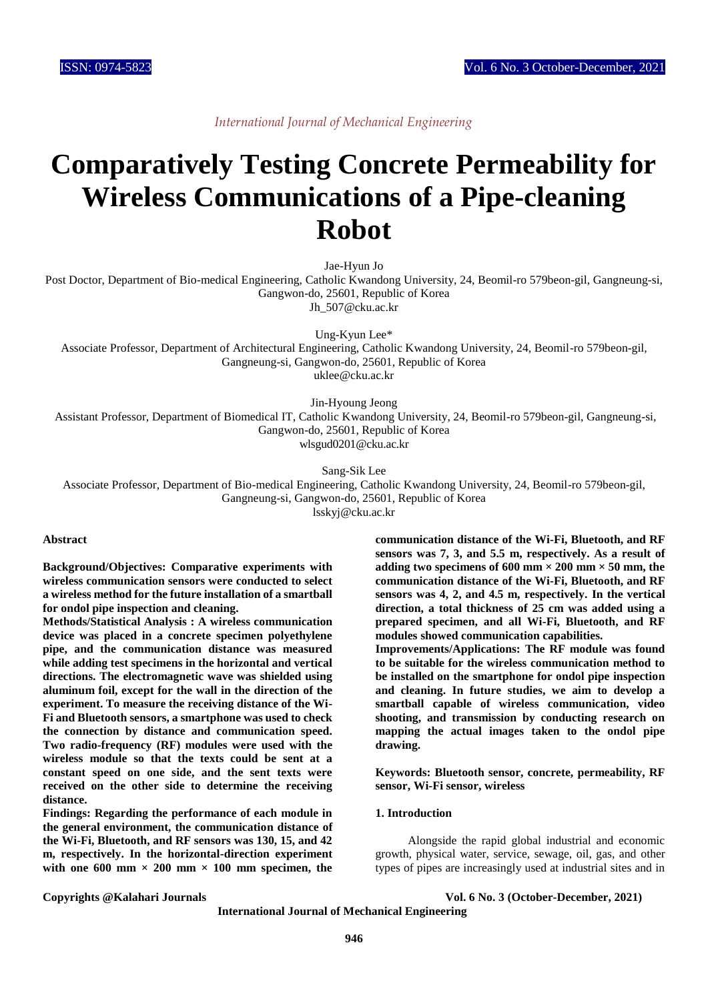*International Journal of Mechanical Engineering*

# **Comparatively Testing Concrete Permeability for Wireless Communications of a Pipe-cleaning Robot**

Jae-Hyun Jo

Post Doctor, Department of Bio-medical Engineering, Catholic Kwandong University, 24, Beomil-ro 579beon-gil, Gangneung-si, Gangwon-do, 25601, Republic of Korea Jh 507@cku.ac.kr

Ung-Kyun Lee\* Associate Professor, Department of Architectural Engineering, Catholic Kwandong University, 24, Beomil-ro 579beon-gil, Gangneung-si, Gangwon-do, 25601, Republic of Korea uklee@cku.ac.kr

Jin-Hyoung Jeong

Assistant Professor, Department of Biomedical IT, Catholic Kwandong University, 24, Beomil-ro 579beon-gil, Gangneung-si, Gangwon-do, 25601, Republic of Korea wlsgud0201@cku.ac.kr

Sang-Sik Lee

Associate Professor, Department of Bio-medical Engineering, Catholic Kwandong University, 24, Beomil-ro 579beon-gil, Gangneung-si, Gangwon-do, 25601, Republic of Korea

lsskyj@cku.ac.kr

#### **Abstract**

**Background/Objectives: Comparative experiments with wireless communication sensors were conducted to select a wireless method for the future installation of a smartball for ondol pipe inspection and cleaning.**

**Methods/Statistical Analysis : A wireless communication device was placed in a concrete specimen polyethylene pipe, and the communication distance was measured while adding test specimens in the horizontal and vertical directions. The electromagnetic wave was shielded using aluminum foil, except for the wall in the direction of the experiment. To measure the receiving distance of the Wi-Fi and Bluetooth sensors, a smartphone was used to check the connection by distance and communication speed. Two radio-frequency (RF) modules were used with the wireless module so that the texts could be sent at a constant speed on one side, and the sent texts were received on the other side to determine the receiving distance.**

**Findings: Regarding the performance of each module in the general environment, the communication distance of the Wi-Fi, Bluetooth, and RF sensors was 130, 15, and 42 m, respectively. In the horizontal-direction experiment**  with one  $600 \text{ mm} \times 200 \text{ mm} \times 100 \text{ mm}$  specimen, the

**communication distance of the Wi-Fi, Bluetooth, and RF sensors was 7, 3, and 5.5 m, respectively. As a result of**  adding two specimens of  $600 \text{ mm} \times 200 \text{ mm} \times 50 \text{ mm}$ , the **communication distance of the Wi-Fi, Bluetooth, and RF sensors was 4, 2, and 4.5 m, respectively. In the vertical direction, a total thickness of 25 cm was added using a prepared specimen, and all Wi-Fi, Bluetooth, and RF modules showed communication capabilities.**

**Improvements/Applications: The RF module was found to be suitable for the wireless communication method to be installed on the smartphone for ondol pipe inspection and cleaning. In future studies, we aim to develop a smartball capable of wireless communication, video shooting, and transmission by conducting research on mapping the actual images taken to the ondol pipe drawing.**

**Keywords: Bluetooth sensor, concrete, permeability, RF sensor, Wi-Fi sensor, wireless**

#### **1. Introduction**

Alongside the rapid global industrial and economic growth, physical water, service, sewage, oil, gas, and other types of pipes are increasingly used at industrial sites and in

**Copyrights @Kalahari Journals Vol. 6 No. 3 (October-December, 2021)**

**International Journal of Mechanical Engineering**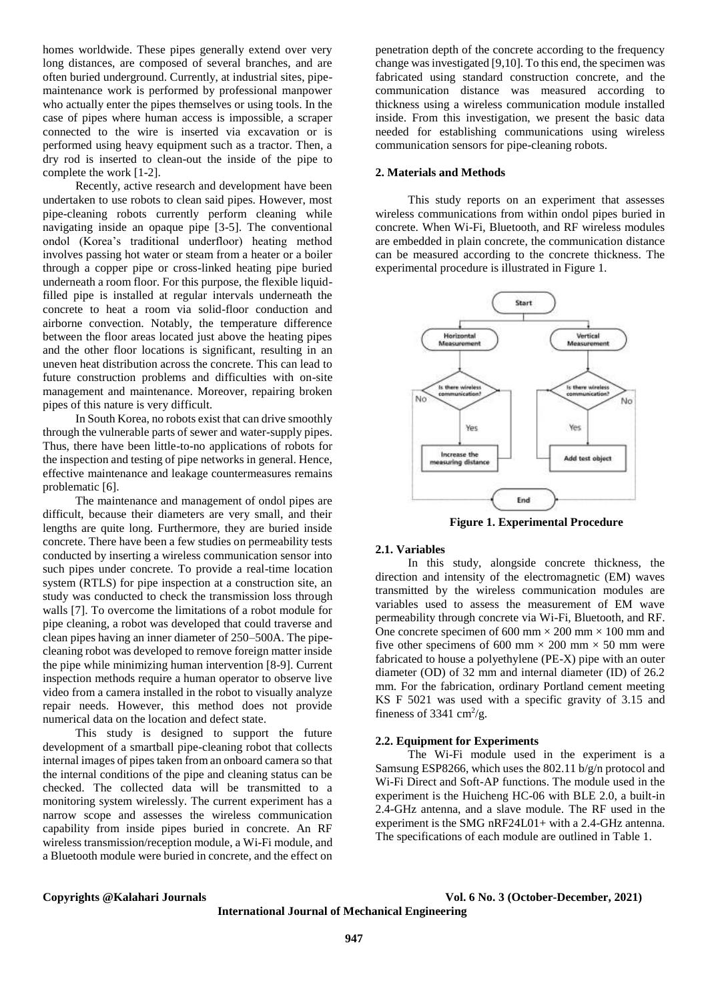homes worldwide. These pipes generally extend over very long distances, are composed of several branches, and are often buried underground. Currently, at industrial sites, pipemaintenance work is performed by professional manpower who actually enter the pipes themselves or using tools. In the case of pipes where human access is impossible, a scraper connected to the wire is inserted via excavation or is performed using heavy equipment such as a tractor. Then, a dry rod is inserted to clean-out the inside of the pipe to complete the work [1-2].

Recently, active research and development have been undertaken to use robots to clean said pipes. However, most pipe-cleaning robots currently perform cleaning while navigating inside an opaque pipe [3-5]. The conventional ondol (Korea's traditional underfloor) heating method involves passing hot water or steam from a heater or a boiler through a copper pipe or cross-linked heating pipe buried underneath a room floor. For this purpose, the flexible liquidfilled pipe is installed at regular intervals underneath the concrete to heat a room via solid-floor conduction and airborne convection. Notably, the temperature difference between the floor areas located just above the heating pipes and the other floor locations is significant, resulting in an uneven heat distribution across the concrete. This can lead to future construction problems and difficulties with on-site management and maintenance. Moreover, repairing broken pipes of this nature is very difficult.

In South Korea, no robots exist that can drive smoothly through the vulnerable parts of sewer and water-supply pipes. Thus, there have been little-to-no applications of robots for the inspection and testing of pipe networks in general. Hence, effective maintenance and leakage countermeasures remains problematic [6].

The maintenance and management of ondol pipes are difficult, because their diameters are very small, and their lengths are quite long. Furthermore, they are buried inside concrete. There have been a few studies on permeability tests conducted by inserting a wireless communication sensor into such pipes under concrete. To provide a real-time location system (RTLS) for pipe inspection at a construction site, an study was conducted to check the transmission loss through walls [7]. To overcome the limitations of a robot module for pipe cleaning, a robot was developed that could traverse and clean pipes having an inner diameter of 250–500A. The pipecleaning robot was developed to remove foreign matter inside the pipe while minimizing human intervention [8-9]. Current inspection methods require a human operator to observe live video from a camera installed in the robot to visually analyze repair needs. However, this method does not provide numerical data on the location and defect state.

This study is designed to support the future development of a smartball pipe-cleaning robot that collects internal images of pipes taken from an onboard camera so that the internal conditions of the pipe and cleaning status can be checked. The collected data will be transmitted to a monitoring system wirelessly. The current experiment has a narrow scope and assesses the wireless communication capability from inside pipes buried in concrete. An RF wireless transmission/reception module, a Wi-Fi module, and a Bluetooth module were buried in concrete, and the effect on

penetration depth of the concrete according to the frequency change was investigated [9,10]. To this end, the specimen was fabricated using standard construction concrete, and the communication distance was measured according to thickness using a wireless communication module installed inside. From this investigation, we present the basic data needed for establishing communications using wireless communication sensors for pipe-cleaning robots.

#### **2. Materials and Methods**

This study reports on an experiment that assesses wireless communications from within ondol pipes buried in concrete. When Wi-Fi, Bluetooth, and RF wireless modules are embedded in plain concrete, the communication distance can be measured according to the concrete thickness. The experimental procedure is illustrated in Figure 1.



**Figure 1. Experimental Procedure**

#### **2.1. Variables**

In this study, alongside concrete thickness, the direction and intensity of the electromagnetic (EM) waves transmitted by the wireless communication modules are variables used to assess the measurement of EM wave permeability through concrete via Wi-Fi, Bluetooth, and RF. One concrete specimen of 600 mm  $\times$  200 mm  $\times$  100 mm and five other specimens of 600 mm  $\times$  200 mm  $\times$  50 mm were fabricated to house a polyethylene (PE-X) pipe with an outer diameter (OD) of 32 mm and internal diameter (ID) of 26.2 mm. For the fabrication, ordinary Portland cement meeting KS F 5021 was used with a specific gravity of 3.15 and fineness of 3341 cm<sup>2</sup>/g.

## **2.2. Equipment for Experiments**

The Wi-Fi module used in the experiment is a Samsung ESP8266, which uses the 802.11 b/g/n protocol and Wi-Fi Direct and Soft-AP functions. The module used in the experiment is the Huicheng HC-06 with BLE 2.0, a built-in 2.4-GHz antenna, and a slave module. The RF used in the experiment is the SMG nRF24L01+ with a 2.4-GHz antenna. The specifications of each module are outlined in Table 1.

**Copyrights @Kalahari Journals Vol. 6 No. 3 (October-December, 2021)**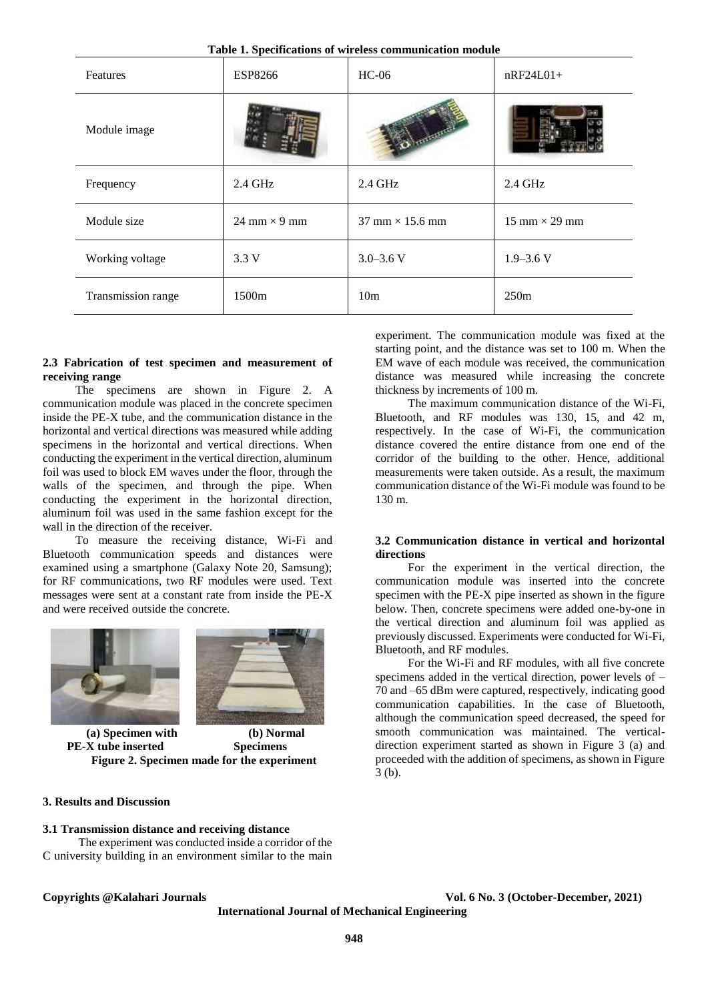**Table 1. Specifications of wireless communication module**

| Features           | ESP8266             | $HC-06$                                | $nRF24L01+$                          |
|--------------------|---------------------|----------------------------------------|--------------------------------------|
| Module image       |                     |                                        |                                      |
| Frequency          | 2.4 GHz             | 2.4 GHz                                | 2.4 GHz                              |
| Module size        | 24 mm $\times$ 9 mm | $37 \text{ mm} \times 15.6 \text{ mm}$ | $15 \text{ mm} \times 29 \text{ mm}$ |
| Working voltage    | 3.3V                | $3.0 - 3.6$ V                          | $1.9 - 3.6$ V                        |
| Transmission range | 1500 <sub>m</sub>   | 10 <sub>m</sub>                        | 250m                                 |

#### **2.3 Fabrication of test specimen and measurement of receiving range**

The specimens are shown in Figure 2. A communication module was placed in the concrete specimen inside the PE-X tube, and the communication distance in the horizontal and vertical directions was measured while adding specimens in the horizontal and vertical directions. When conducting the experiment in the vertical direction, aluminum foil was used to block EM waves under the floor, through the walls of the specimen, and through the pipe. When conducting the experiment in the horizontal direction, aluminum foil was used in the same fashion except for the wall in the direction of the receiver.

To measure the receiving distance, Wi-Fi and Bluetooth communication speeds and distances were examined using a smartphone (Galaxy Note 20, Samsung); for RF communications, two RF modules were used. Text messages were sent at a constant rate from inside the PE-X and were received outside the concrete.





**(a) Specimen with PE-X tube inserted (b) Normal Specimens Figure 2. Specimen made for the experiment**

# **3. Results and Discussion**

#### **3.1 Transmission distance and receiving distance**

The experiment was conducted inside a corridor of the C university building in an environment similar to the main

experiment. The communication module was fixed at the starting point, and the distance was set to 100 m. When the EM wave of each module was received, the communication distance was measured while increasing the concrete thickness by increments of 100 m.

The maximum communication distance of the Wi-Fi, Bluetooth, and RF modules was 130, 15, and 42 m, respectively. In the case of Wi-Fi, the communication distance covered the entire distance from one end of the corridor of the building to the other. Hence, additional measurements were taken outside. As a result, the maximum communication distance of the Wi-Fi module was found to be 130 m.

### **3.2 Communication distance in vertical and horizontal directions**

For the experiment in the vertical direction, the communication module was inserted into the concrete specimen with the PE-X pipe inserted as shown in the figure below. Then, concrete specimens were added one-by-one in the vertical direction and aluminum foil was applied as previously discussed. Experiments were conducted for Wi-Fi, Bluetooth, and RF modules.

For the Wi-Fi and RF modules, with all five concrete specimens added in the vertical direction, power levels of – 70 and –65 dBm were captured, respectively, indicating good communication capabilities. In the case of Bluetooth, although the communication speed decreased, the speed for smooth communication was maintained. The verticaldirection experiment started as shown in Figure 3 (a) and proceeded with the addition of specimens, as shown in Figure 3 (b).

**Copyrights @Kalahari Journals Vol. 6 No. 3 (October-December, 2021)**

**International Journal of Mechanical Engineering**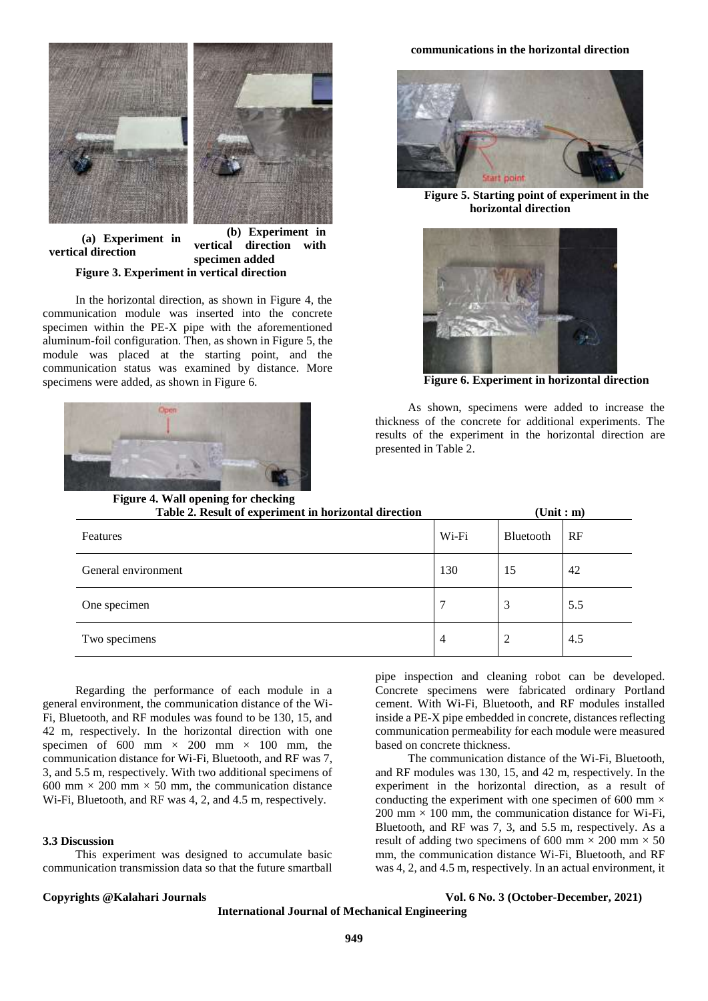

**(a) Experiment in vertical direction (b) Experiment in vertical direction with specimen added Figure 3. Experiment in vertical direction**

In the horizontal direction, as shown in Figure 4, the communication module was inserted into the concrete specimen within the PE-X pipe with the aforementioned aluminum-foil configuration. Then, as shown in Figure 5, the module was placed at the starting point, and the communication status was examined by distance. More specimens were added, as shown in Figure 6.



#### **communications in the horizontal direction**



**Figure 5. Starting point of experiment in the horizontal direction**



**Figure 6. Experiment in horizontal direction**

As shown, specimens were added to increase the thickness of the concrete for additional experiments. The results of the experiment in the horizontal direction are presented in Table 2.

| rigure 4. Wall opening for encening<br>Table 2. Result of experiment in horizontal direction | $(\text{Unit}: \text{m})$ |           |     |
|----------------------------------------------------------------------------------------------|---------------------------|-----------|-----|
| Features                                                                                     | Wi-Fi                     | Bluetooth | RF  |
| General environment                                                                          | 130                       | 15        | 42  |
| One specimen                                                                                 |                           | 3         | 5.5 |
| Two specimens                                                                                | 4                         | 2         | 4.5 |

Regarding the performance of each module in a general environment, the communication distance of the Wi-Fi, Bluetooth, and RF modules was found to be 130, 15, and 42 m, respectively. In the horizontal direction with one specimen of 600 mm  $\times$  200 mm  $\times$  100 mm, the communication distance for Wi-Fi, Bluetooth, and RF was 7, 3, and 5.5 m, respectively. With two additional specimens of 600 mm  $\times$  200 mm  $\times$  50 mm, the communication distance Wi-Fi, Bluetooth, and RF was 4, 2, and 4.5 m, respectively.

### **3.3 Discussion**

This experiment was designed to accumulate basic communication transmission data so that the future smartball

pipe inspection and cleaning robot can be developed. Concrete specimens were fabricated ordinary Portland cement. With Wi-Fi, Bluetooth, and RF modules installed inside a PE-X pipe embedded in concrete, distances reflecting communication permeability for each module were measured based on concrete thickness.

The communication distance of the Wi-Fi, Bluetooth, and RF modules was 130, 15, and 42 m, respectively. In the experiment in the horizontal direction, as a result of conducting the experiment with one specimen of 600 mm  $\times$ 200 mm  $\times$  100 mm, the communication distance for Wi-Fi, Bluetooth, and RF was 7, 3, and 5.5 m, respectively. As a result of adding two specimens of 600 mm  $\times$  200 mm  $\times$  50 mm, the communication distance Wi-Fi, Bluetooth, and RF was 4, 2, and 4.5 m, respectively. In an actual environment, it

**Copyrights @Kalahari Journals Vol. 6 No. 3 (October-December, 2021)**

**International Journal of Mechanical Engineering**